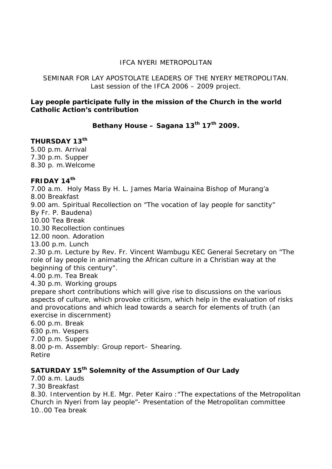## IFCA NYERI METROPOLITAN

SEMINAR FOR LAY APOSTOLATE LEADERS OF THE NYERY METROPOLITAN. Last session of the IFCA 2006 – 2009 project.

### **Lay people participate fully in the mission of the Church in the world Catholic Action's contribution**

# **Bethany House – Sagana 13th 17th 2009.**

#### **THURSDAY 13th**

5.00 p.m. Arrival 7.30 p.m. Supper 8.30 p. m.Welcome

#### **FRIDAY 14th**

7.00 a.m. Holy Mass By H. L. James Maria Wainaina Bishop of Murang'a 8.00 Breakfast 9.00 am. Spiritual Recollection on "The vocation of lay people for sanctity" By Fr. P. Baudena) 10.00 Tea Break 10.30 Recollection continues 12.00 noon. Adoration 13.00 p.m. Lunch 2.30 p.m. Lecture by Rev. Fr. Vincent Wambugu KEC General Secretary on "The role of lay people in animating the African culture in a Christian way at the beginning of this century". 4.00 p.m. Tea Break 4.30 p.m. Working groups prepare short contributions which will give rise to discussions on the various

aspects of culture, which provoke criticism, which help in the evaluation of risks and provocations and which lead towards a search for elements of truth (an exercise in discernment)

6.00 p.m. Break 630 p.m. Vespers 7.00 p.m. Supper 8.00 p-m. Assembly: Group report– Shearing. Retire

## **SATURDAY 15th Solemnity of the Assumption of Our Lady**

7.00 a.m. Lauds

7.30 Breakfast

8.30. Intervention by H.E. Mgr. Peter Kairo :"The expectations of the Metropolitan Church in Nyeri from lay people"- Presentation of the Metropolitan committee 10..00 Tea break